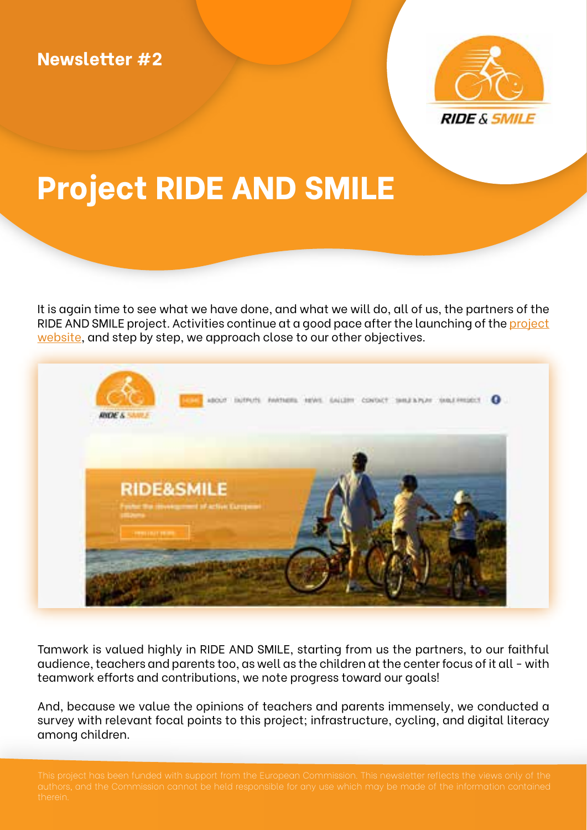

## **Project RIDE AND SMILE**

It is again time to see what we have done, and what we will do, all of us, the partners of the RIDE AND SMILE project. Activities continue at a good pace after the launching of the [project](https://ride.smile-project.eu/)  [website,](https://ride.smile-project.eu/) and step by step, we approach close to our other objectives.



Tamwork is valued highly in RIDE AND SMILE, starting from us the partners, to our faithful audience, teachers and parents too, as well as the children at the center focus of it all - with teamwork efforts and contributions, we note progress toward our goals!

And, because we value the opinions of teachers and parents immensely, we conducted a survey with relevant focal points to this project; infrastructure, cycling, and digital literacy among children.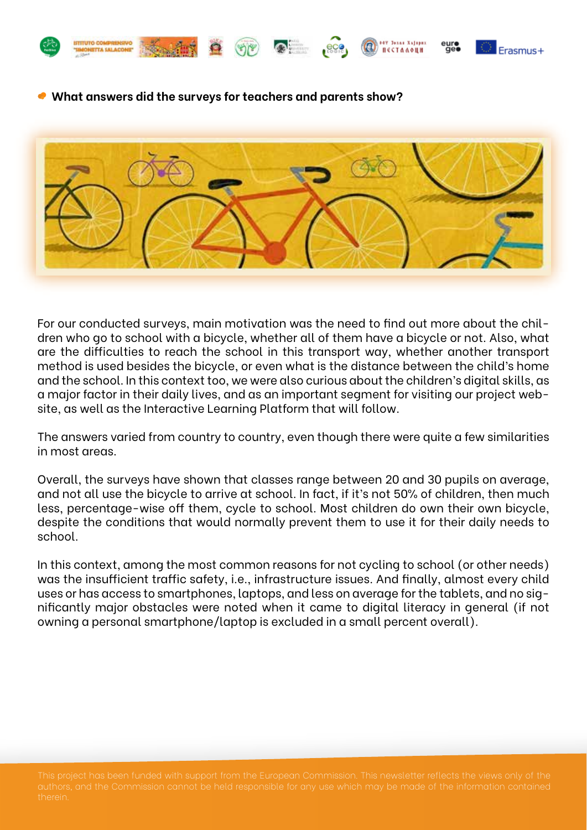



**SOV Jazza Xalenes** 

ПЕСТАЛОЦИ

 **What answers did the surveys for teachers and parents show?** 



For our conducted surveys, main motivation was the need to find out more about the children who go to school with a bicycle, whether all of them have a bicycle or not. Also, what are the difficulties to reach the school in this transport way, whether another transport method is used besides the bicycle, or even what is the distance between the child's home and the school. In this context too, we were also curious about the children's digital skills, as a major factor in their daily lives, and as an important segment for visiting our project website, as well as the Interactive Learning Platform that will follow.

The answers varied from country to country, even though there were quite a few similarities in most areas.

Overall, the surveys have shown that classes range between 20 and 30 pupils on average, and not all use the bicycle to arrive at school. In fact, if it's not 50% of children, then much less, percentage-wise off them, cycle to school. Most children do own their own bicycle, despite the conditions that would normally prevent them to use it for their daily needs to school.

In this context, among the most common reasons for not cycling to school (or other needs) was the insufficient traffic safety, i.e., infrastructure issues. And finally, almost every child uses or has access to smartphones, laptops, and less on average for the tablets, and no significantly major obstacles were noted when it came to digital literacy in general (if not owning a personal smartphone/laptop is excluded in a small percent overall).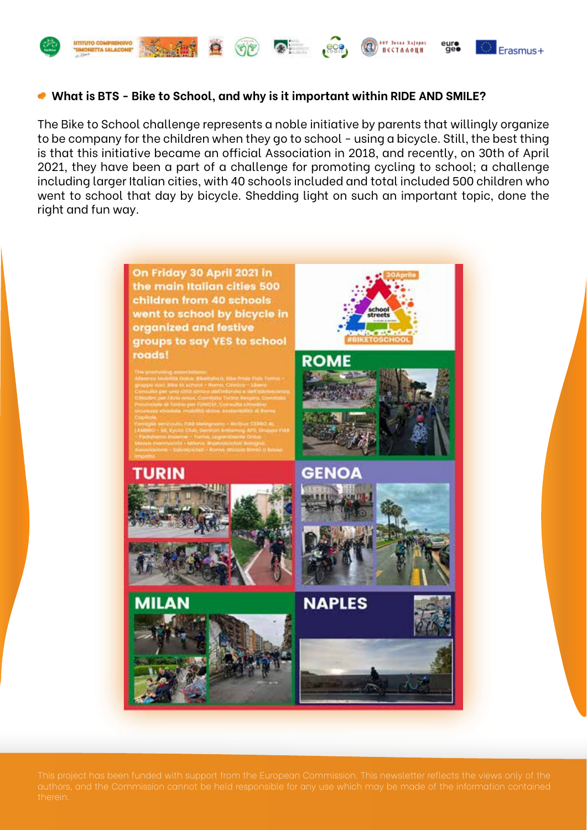



**SOV Jazza Xalency** 

ПЕСТАЛОЦИ

#### **What is BTS - Bike to School, and why is it important within RIDE AND SMILE?**

The Bike to School challenge represents a noble initiative by parents that willingly organize to be company for the children when they go to school - using a bicycle. Still, the best thing is that this initiative became an official Association in 2018, and recently, on 30th of April 2021, they have been a part of a challenge for promoting cycling to school; a challenge including larger Italian cities, with 40 schools included and total included 500 children who went to school that day by bicycle. Shedding light on such an important topic, done the right and fun way.

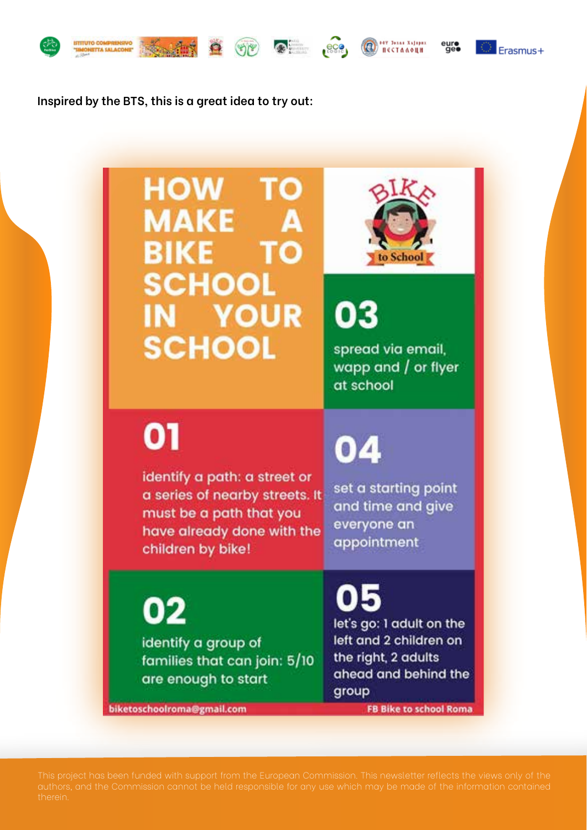







euro<br>Geo

Erasmus+

Inspired by the BTS, this is a great idea to try out:

### **HOW TO MAKE** A **BIKE TO SCHOOL IN YOUR SCHOOL**



03

spread via email, wapp and / or flyer at school

# 01

identify a path: a street or a series of nearby streets. It must be a path that you have already done with the children by bike!

## 04

set a starting point and time and give everyone an appointment

02

identify a group of families that can join: 5/10 are enough to start

let's go: I adult on the left and 2 children on the right, 2 adults ahead and behind the group

biketoschoolroma@gmail.com

**FB Bike to school Roma**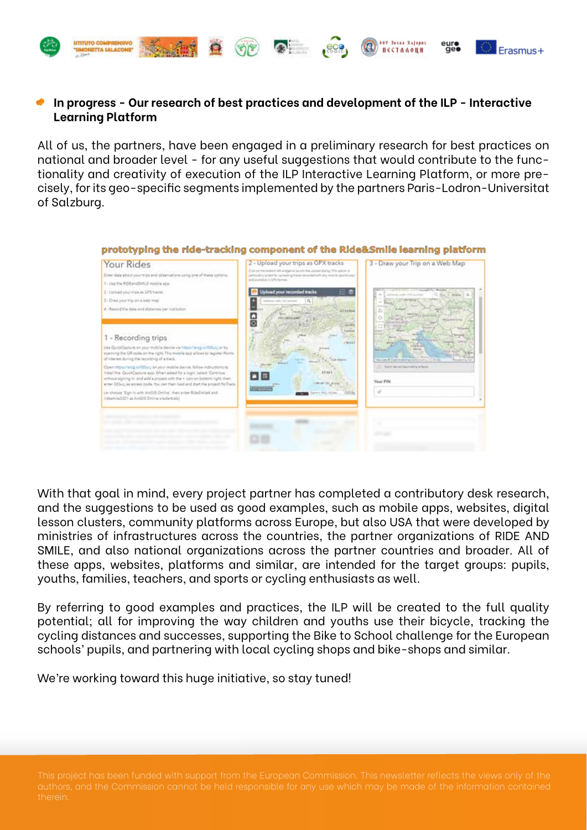

HETTA SALACO

**Straight N** 

 $\bullet$ 

#### **In progress - Our research of best practices and development of the ILP - Interactive Learning Platform**

 $\bullet$ 

<sup>1</sup> Passe Xaliper

ПЕСТАЛОЦИ

Erasmus+

All of us, the partners, have been engaged in a preliminary research for best practices on national and broader level - for any useful suggestions that would contribute to the functionality and creativity of execution of the ILP Interactive Learning Platform, or more precisely, for its geo-specific segments implemented by the partners Paris-Lodron-Universitat of Salzburg.



With that goal in mind, every project partner has completed a contributory desk research, and the suggestions to be used as good examples, such as mobile apps, websites, digital lesson clusters, community platforms across Europe, but also USA that were developed by ministries of infrastructures across the countries, the partner organizations of RIDE AND SMILE, and also national organizations across the partner countries and broader. All of these apps, websites, platforms and similar, are intended for the target groups: pupils, youths, families, teachers, and sports or cycling enthusiasts as well.

By referring to good examples and practices, the ILP will be created to the full quality potential; all for improving the way children and youths use their bicycle, tracking the cycling distances and successes, supporting the Bike to School challenge for the European schools' pupils, and partnering with local cycling shops and bike-shops and similar.

We're working toward this huge initiative, so stay tuned!